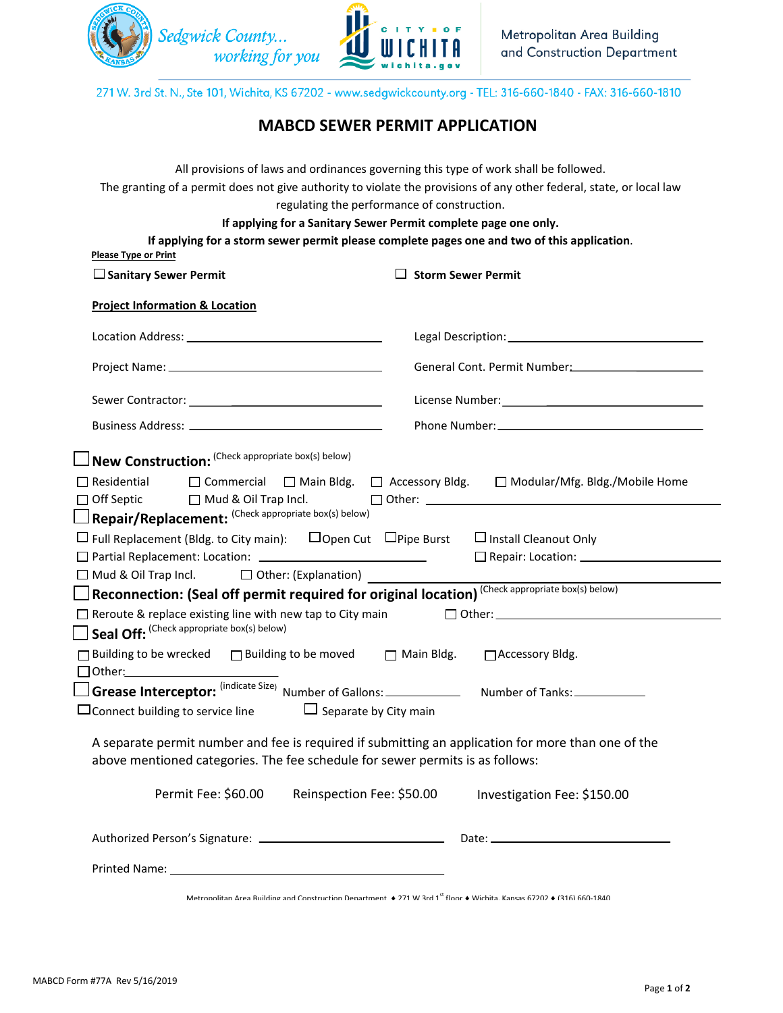



271 W. 3rd St. N., Ste 101, Wichita, KS 67202 - www.sedgwickcounty.org - TEL: 316-660-1840 - FAX: 316-660-1810

## **MABCD SEWER PERMIT APPLICATION**

| All provisions of laws and ordinances governing this type of work shall be followed.<br>The granting of a permit does not give authority to violate the provisions of any other federal, state, or local law |                                                                                        |  |
|--------------------------------------------------------------------------------------------------------------------------------------------------------------------------------------------------------------|----------------------------------------------------------------------------------------|--|
| regulating the performance of construction.                                                                                                                                                                  |                                                                                        |  |
| If applying for a Sanitary Sewer Permit complete page one only.                                                                                                                                              |                                                                                        |  |
| If applying for a storm sewer permit please complete pages one and two of this application.<br><b>Please Type or Print</b>                                                                                   |                                                                                        |  |
| $\Box$ Sanitary Sewer Permit                                                                                                                                                                                 | $\Box$ Storm Sewer Permit                                                              |  |
| <b>Project Information &amp; Location</b>                                                                                                                                                                    |                                                                                        |  |
|                                                                                                                                                                                                              |                                                                                        |  |
|                                                                                                                                                                                                              | General Cont. Permit Number: Containing the Control of the Containing Senator Contains |  |
|                                                                                                                                                                                                              |                                                                                        |  |
|                                                                                                                                                                                                              |                                                                                        |  |
| $\Box$ New Construction: (Check appropriate box(s) below)                                                                                                                                                    |                                                                                        |  |
| $\Box$ Residential                                                                                                                                                                                           | □ Commercial □ Main Bldg. □ Accessory Bldg. □ Modular/Mfg. Bldg./Mobile Home           |  |
| $\Box$ Off Septic $\Box$ Mud & Oil Trap Incl. $\Box$ Other: $\Box$<br>Repair/Replacement: (Check appropriate box(s) below)                                                                                   |                                                                                        |  |
| $\Box$ Full Replacement (Bldg. to City main): $\Box$ Open Cut $\Box$ Pipe Burst $\Box$ Install Cleanout Only                                                                                                 |                                                                                        |  |
|                                                                                                                                                                                                              |                                                                                        |  |
| $\Box$ Mud & Oil Trap Incl. $\Box$ Other: (Explanation)                                                                                                                                                      |                                                                                        |  |
| $\Box$ Reconnection: (Seal off permit required for original location) (Check appropriate box(s) below)                                                                                                       |                                                                                        |  |
| $\Box$ Reroute & replace existing line with new tap to City main                                                                                                                                             |                                                                                        |  |
| Seal Off: (Check appropriate box(s) below)                                                                                                                                                                   |                                                                                        |  |
| □ Building to be wrecked □ Building to be moved □ Main Bldg.                                                                                                                                                 | □ Accessory Bldg.                                                                      |  |
|                                                                                                                                                                                                              |                                                                                        |  |
| $\Box$ Separate by City main<br>$\Box$ Connect building to service line                                                                                                                                      |                                                                                        |  |
| A separate permit number and fee is required if submitting an application for more than one of the<br>above mentioned categories. The fee schedule for sewer permits is as follows:                          |                                                                                        |  |
| Permit Fee: \$60.00<br>Reinspection Fee: \$50.00                                                                                                                                                             | Investigation Fee: \$150.00                                                            |  |
|                                                                                                                                                                                                              |                                                                                        |  |
|                                                                                                                                                                                                              |                                                                                        |  |
| Metropolitan Area Building and Construction Department ♦ 271 W 3rd 1st floor ♦ Wichita. Kansas 67202 ♦ (316) 660-1840                                                                                        |                                                                                        |  |